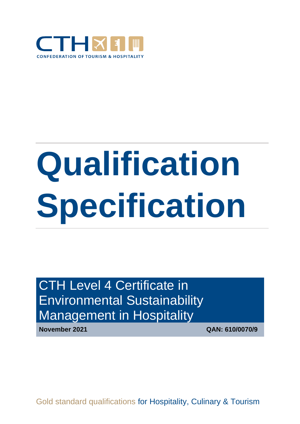

# **Qualification Specification**

# CTH Level 4 Certificate in Environmental Sustainability Management in Hospitality

**November 2021 QAN: 610/0070/9** 

Gold standard qualifications for Hospitality, Culinary & Tourism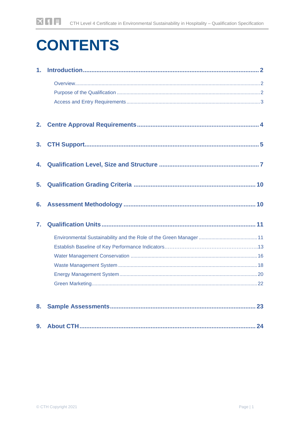# **CONTENTS**

| 1 <sub>1</sub> |  |
|----------------|--|
|                |  |
|                |  |
|                |  |
| 2.             |  |
| 3.             |  |
|                |  |
| 5.             |  |
|                |  |
| 7.             |  |
|                |  |
|                |  |
|                |  |
|                |  |
|                |  |
|                |  |
|                |  |
|                |  |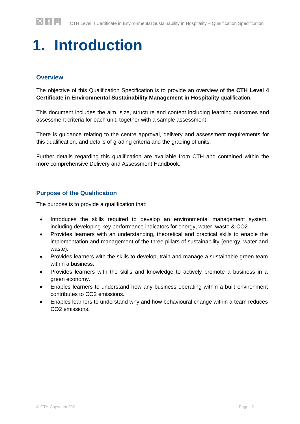# <span id="page-2-0"></span>**1. Introduction**

### <span id="page-2-1"></span>**Overview**

The objective of this Qualification Specification is to provide an overview of the **CTH Level 4 Certificate in Environmental Sustainability Management in Hospitality** qualification.

This document includes the aim, size, structure and content including learning outcomes and assessment criteria for each unit, together with a sample assessment.

There is guidance relating to the centre approval, delivery and assessment requirements for this qualification, and details of grading criteria and the grading of units.

Further details regarding this qualification are available from CTH and contained within the more comprehensive Delivery and Assessment Handbook.

### <span id="page-2-2"></span>**Purpose of the Qualification**

The purpose is to provide a qualification that:

- Introduces the skills required to develop an environmental management system, including developing key performance indicators for energy, water, waste & CO2.
- Provides learners with an understanding, theoretical and practical skills to enable the implementation and management of the three pillars of sustainability (energy, water and waste).
- Provides learners with the skills to develop, train and manage a sustainable green team within a business.
- Provides learners with the skills and knowledge to actively promote a business in a green economy.
- Enables learners to understand how any business operating within a built environment contributes to CO2 emissions.
- Enables learners to understand why and how behavioural change within a team reduces CO2 emissions.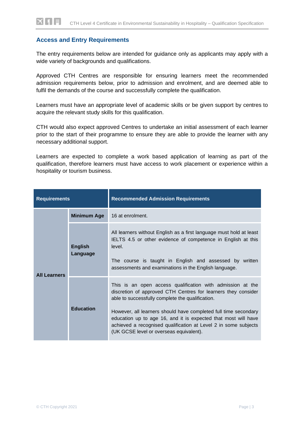### <span id="page-3-0"></span>**Access and Entry Requirements**

The entry requirements below are intended for guidance only as applicants may apply with a wide variety of backgrounds and qualifications.

Approved CTH Centres are responsible for ensuring learners meet the recommended admission requirements below, prior to admission and enrolment, and are deemed able to fulfil the demands of the course and successfully complete the qualification.

Learners must have an appropriate level of academic skills or be given support by centres to acquire the relevant study skills for this qualification.

CTH would also expect approved Centres to undertake an initial assessment of each learner prior to the start of their programme to ensure they are able to provide the learner with any necessary additional support.

Learners are expected to complete a work based application of learning as part of the qualification, therefore learners must have access to work placement or experience within a hospitality or tourism business.

| <b>Requirements</b> |                            | <b>Recommended Admission Requirements</b>                                                                                                                                                                                                                                                                                                                                                                                          |
|---------------------|----------------------------|------------------------------------------------------------------------------------------------------------------------------------------------------------------------------------------------------------------------------------------------------------------------------------------------------------------------------------------------------------------------------------------------------------------------------------|
|                     | <b>Minimum Age</b>         | 16 at enrolment.                                                                                                                                                                                                                                                                                                                                                                                                                   |
| <b>All Learners</b> | <b>English</b><br>Language | All learners without English as a first language must hold at least<br>IELTS 4.5 or other evidence of competence in English at this<br>level.<br>The course is taught in English and assessed by written<br>assessments and examinations in the English language.                                                                                                                                                                  |
|                     | <b>Education</b>           | This is an open access qualification with admission at the<br>discretion of approved CTH Centres for learners they consider<br>able to successfully complete the qualification.<br>However, all learners should have completed full time secondary<br>education up to age 16, and it is expected that most will have<br>achieved a recognised qualification at Level 2 in some subjects<br>(UK GCSE level or overseas equivalent). |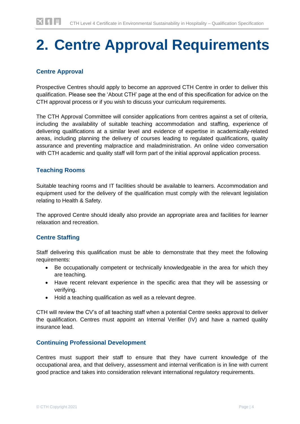# <span id="page-4-0"></span>**2. Centre Approval Requirements**

# **Centre Approval**

Prospective Centres should apply to become an approved CTH Centre in order to deliver this qualification. Please see the 'About CTH' page at the end of this specification for advice on the CTH approval process or if you wish to discuss your curriculum requirements.

The CTH Approval Committee will consider applications from centres against a set of criteria, including the availability of suitable teaching accommodation and staffing, experience of delivering qualifications at a similar level and evidence of expertise in academically-related areas, including planning the delivery of courses leading to regulated qualifications, quality assurance and preventing malpractice and maladministration. An online video conversation with CTH academic and quality staff will form part of the initial approval application process.

### **Teaching Rooms**

Suitable teaching rooms and IT facilities should be available to learners. Accommodation and equipment used for the delivery of the qualification must comply with the relevant legislation relating to Health & Safety.

The approved Centre should ideally also provide an appropriate area and facilities for learner relaxation and recreation.

### **Centre Staffing**

Staff delivering this qualification must be able to demonstrate that they meet the following requirements:

- Be occupationally competent or technically knowledgeable in the area for which they are teaching.
- Have recent relevant experience in the specific area that they will be assessing or verifying.
- Hold a teaching qualification as well as a relevant degree.

CTH will review the CV's of all teaching staff when a potential Centre seeks approval to deliver the qualification. Centres must appoint an Internal Verifier (IV) and have a named quality insurance lead.

#### **Continuing Professional Development**

Centres must support their staff to ensure that they have current knowledge of the occupational area, and that delivery, assessment and internal verification is in line with current good practice and takes into consideration relevant international regulatory requirements.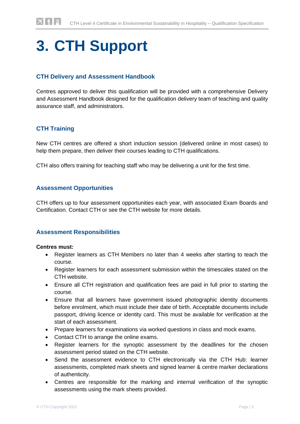# <span id="page-5-0"></span>**3. CTH Support**

### **CTH Delivery and Assessment Handbook**

Centres approved to deliver this qualification will be provided with a comprehensive Delivery and Assessment Handbook designed for the qualification delivery team of teaching and quality assurance staff, and administrators.

## **CTH Training**

New CTH centres are offered a short induction session (delivered online in most cases) to help them prepare, then deliver their courses leading to CTH qualifications.

CTH also offers training for teaching staff who may be delivering a unit for the first time.

#### **Assessment Opportunities**

CTH offers up to four assessment opportunities each year, with associated Exam Boards and Certification. Contact CTH or see the CTH website for more details.

#### **Assessment Responsibilities**

#### **Centres must:**

- Register learners as CTH Members no later than 4 weeks after starting to teach the course.
- Register learners for each assessment submission within the timescales stated on the CTH website.
- Ensure all CTH registration and qualification fees are paid in full prior to starting the course.
- Ensure that all learners have government issued photographic identity documents before enrolment, which must include their date of birth. Acceptable documents include passport, driving licence or identity card. This must be available for verification at the start of each assessment.
- Prepare learners for examinations via worked questions in class and mock exams.
- Contact CTH to arrange the online exams.
- Register learners for the synoptic assessment by the deadlines for the chosen assessment period stated on the CTH website.
- Send the assessment evidence to CTH electronically via the CTH Hub: learner assessments, completed mark sheets and signed learner & centre marker declarations of authenticity.
- Centres are responsible for the marking and internal verification of the synoptic assessments using the mark sheets provided.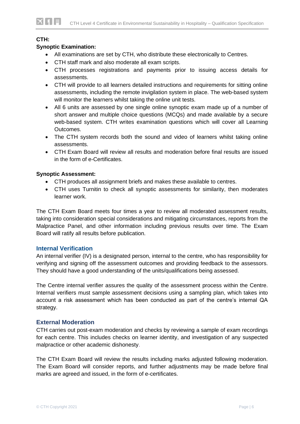#### **CTH:**

▎▆▌▌▆▏

#### **Synoptic Examination:**

- All examinations are set by CTH, who distribute these electronically to Centres.
- CTH staff mark and also moderate all exam scripts.
- CTH processes registrations and payments prior to issuing access details for assessments.
- CTH will provide to all learners detailed instructions and requirements for sitting online assessments, including the remote invigilation system in place. The web-based system will monitor the learners whilst taking the online unit tests.
- All 6 units are assessed by one single online synoptic exam made up of a number of short answer and multiple choice questions (MCQs) and made available by a secure web-based system. CTH writes examination questions which will cover all Learning Outcomes.
- The CTH system records both the sound and video of learners whilst taking online assessments.
- CTH Exam Board will review all results and moderation before final results are issued in the form of e-Certificates.

#### **Synoptic Assessment:**

- CTH produces all assignment briefs and makes these available to centres.
- CTH uses Turnitin to check all synoptic assessments for similarity, then moderates learner work.

The CTH Exam Board meets four times a year to review all moderated assessment results, taking into consideration special considerations and mitigating circumstances, reports from the Malpractice Panel, and other information including previous results over time. The Exam Board will ratify all results before publication.

#### **Internal Verification**

An internal verifier (IV) is a designated person, internal to the centre, who has responsibility for verifying and signing off the assessment outcomes and providing feedback to the assessors. They should have a good understanding of the units/qualifications being assessed.

The Centre internal verifier assures the quality of the assessment process within the Centre. Internal verifiers must sample assessment decisions using a sampling plan, which takes into account a risk assessment which has been conducted as part of the centre's internal QA strategy.

#### **External Moderation**

CTH carries out post-exam moderation and checks by reviewing a sample of exam recordings for each centre. This includes checks on learner identity, and investigation of any suspected malpractice or other academic dishonesty.

The CTH Exam Board will review the results including marks adjusted following moderation. The Exam Board will consider reports, and further adjustments may be made before final marks are agreed and issued, in the form of e-certificates.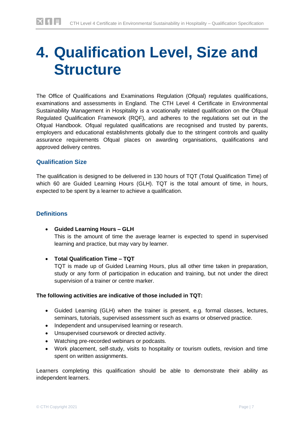# <span id="page-7-0"></span>**4. Qualification Level, Size and Structure**

The Office of Qualifications and Examinations Regulation (Ofqual) regulates qualifications, examinations and assessments in England. The CTH Level 4 Certificate in Environmental Sustainability Management in Hospitality is a vocationally related qualification on the Ofqual Regulated Qualification Framework (RQF), and adheres to the regulations set out in the Ofqual Handbook. Ofqual regulated qualifications are recognised and trusted by parents, employers and educational establishments globally due to the stringent controls and quality assurance requirements Ofqual places on awarding organisations, qualifications and approved delivery centres.

### **Qualification Size**

The qualification is designed to be delivered in 130 hours of TQT (Total Qualification Time) of which 60 are Guided Learning Hours (GLH). TQT is the total amount of time, in hours, expected to be spent by a learner to achieve a qualification.

### **Definitions**

- **Guided Learning Hours – GLH** This is the amount of time the average learner is expected to spend in supervised learning and practice, but may vary by learner.
- **Total Qualification Time – TQT**  TQT is made up of Guided Learning Hours, plus all other time taken in preparation, study or any form of participation in education and training, but not under the direct supervision of a trainer or centre marker.

#### **The following activities are indicative of those included in TQT:**

- Guided Learning (GLH) when the trainer is present, e.g. formal classes, lectures, seminars, tutorials, supervised assessment such as exams or observed practice.
- Independent and unsupervised learning or research.
- Unsupervised coursework or directed activity.
- Watching pre-recorded webinars or podcasts.
- Work placement, self-study, visits to hospitality or tourism outlets, revision and time spent on written assignments.

Learners completing this qualification should be able to demonstrate their ability as independent learners.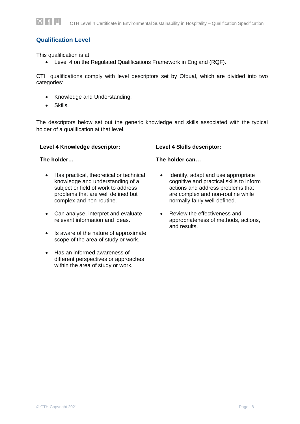### **Qualification Level**

This qualification is at

• Level 4 on the Regulated Qualifications Framework in England (RQF).

CTH qualifications comply with level descriptors set by Ofqual, which are divided into two categories:

- Knowledge and Understanding.
- Skills.

The descriptors below set out the generic knowledge and skills associated with the typical holder of a qualification at that level.

#### **Level 4 Knowledge descriptor:**

#### **The holder…**

- Has practical, theoretical or technical knowledge and understanding of a subject or field of work to address problems that are well defined but complex and non-routine.
- Can analyse, interpret and evaluate relevant information and ideas.
- Is aware of the nature of approximate scope of the area of study or work.
- Has an informed awareness of different perspectives or approaches within the area of study or work.

#### **Level 4 Skills descriptor:**

#### **The holder can…**

- Identify, adapt and use appropriate cognitive and practical skills to inform actions and address problems that are complex and non-routine while normally fairly well-defined.
- Review the effectiveness and appropriateness of methods, actions, and results.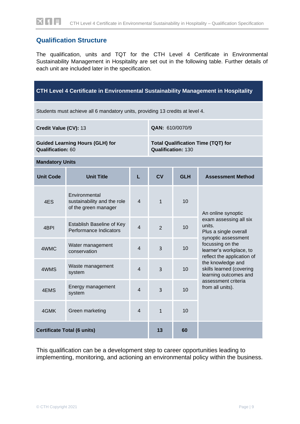# **Qualification Structure**

The qualification, units and TQT for the CTH Level 4 Certificate in Environmental Sustainability Management in Hospitality are set out in the following table. Further details of each unit are included later in the specification.

| CTH Level 4 Certificate in Environmental Sustainability Management in Hospitality |                                                                               |   |                                                                        |            |                                                                                  |  |
|-----------------------------------------------------------------------------------|-------------------------------------------------------------------------------|---|------------------------------------------------------------------------|------------|----------------------------------------------------------------------------------|--|
|                                                                                   | Students must achieve all 6 mandatory units, providing 13 credits at level 4. |   |                                                                        |            |                                                                                  |  |
| Credit Value (CV): 13                                                             |                                                                               |   | QAN: 610/0070/9                                                        |            |                                                                                  |  |
| <b>Qualification: 60</b>                                                          | <b>Guided Learning Hours (GLH) for</b>                                        |   | <b>Total Qualification Time (TQT) for</b><br><b>Qualification: 130</b> |            |                                                                                  |  |
| <b>Mandatory Units</b>                                                            |                                                                               |   |                                                                        |            |                                                                                  |  |
| <b>Unit Code</b>                                                                  | <b>Unit Title</b>                                                             | L | <b>CV</b>                                                              | <b>GLH</b> | <b>Assessment Method</b>                                                         |  |
| 4ES                                                                               | Environmental<br>sustainability and the role<br>of the green manager          | 4 | $\mathbf{1}$                                                           | 10         | An online synoptic                                                               |  |
| 4BPI                                                                              | Establish Baseline of Key<br>Performance Indicators                           | 4 | $\overline{2}$                                                         | 10         | exam assessing all six<br>units.<br>Plus a single overall<br>synoptic assessment |  |
| 4WMC                                                                              | Water management<br>conservation                                              | 4 | $\overline{3}$                                                         | 10         | focussing on the<br>learner's workplace, to<br>reflect the application of        |  |
| 4WMS                                                                              | Waste management<br>system                                                    | 4 | $\overline{3}$                                                         | 10         | the knowledge and<br>skills learned (covering<br>learning outcomes and           |  |
| 4EMS                                                                              | Energy management<br>system                                                   | 4 | 3                                                                      | 10         | assessment criteria<br>from all units).                                          |  |
| 4GMK                                                                              | 4<br>10<br>Green marketing<br>$\mathbf{1}$                                    |   |                                                                        |            |                                                                                  |  |
| <b>Certificate Total (6 units)</b>                                                |                                                                               |   | 13                                                                     | 60         |                                                                                  |  |

This qualification can be a development step to career opportunities leading to implementing, monitoring, and actioning an environmental policy within the business.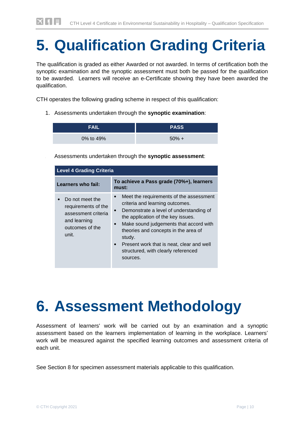# <span id="page-10-0"></span>**5. Qualification Grading Criteria**

The qualification is graded as either Awarded or not awarded. In terms of certification both the synoptic examination and the synoptic assessment must both be passed for the qualification to be awarded. Learners will receive an e-Certificate showing they have been awarded the qualification.

CTH operates the following grading scheme in respect of this qualification:

1. Assessments undertaken through the **synoptic examination**:

| <b>FAIL</b> | <b>PASS</b> |
|-------------|-------------|
| 0% to 49%   | $50\% +$    |

2. Assessments undertaken through the **synoptic assessment**:

| <b>Level 4 Grading Criteria</b>                                                                           |                                                                                                                                                                                                                                                                                                                                                                                                             |  |
|-----------------------------------------------------------------------------------------------------------|-------------------------------------------------------------------------------------------------------------------------------------------------------------------------------------------------------------------------------------------------------------------------------------------------------------------------------------------------------------------------------------------------------------|--|
| Learners who fail:                                                                                        | To achieve a Pass grade (70%+), learners<br>must:                                                                                                                                                                                                                                                                                                                                                           |  |
| Do not meet the<br>requirements of the<br>assessment criteria<br>and learning<br>outcomes of the<br>unit. | Meet the requirements of the assessment<br>$\bullet$<br>criteria and learning outcomes.<br>Demonstrate a level of understanding of<br>$\bullet$<br>the application of the key issues.<br>Make sound judgements that accord with<br>$\bullet$<br>theories and concepts in the area of<br>study.<br>Present work that is neat, clear and well<br>$\bullet$<br>structured, with clearly referenced<br>sources. |  |

# <span id="page-10-1"></span>**6. Assessment Methodology**

Assessment of learners' work will be carried out by an examination and a synoptic assessment based on the learners implementation of learning in the workplace. Learners' work will be measured against the specified learning outcomes and assessment criteria of each unit.

See Section 8 for specimen assessment materials applicable to this qualification.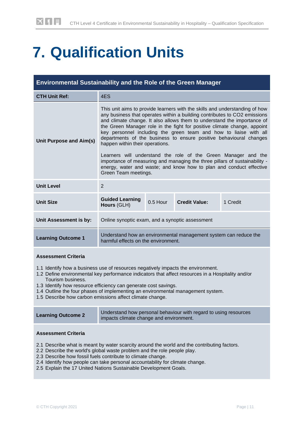# <span id="page-11-0"></span>**7. Qualification Units**

| <b>Environmental Sustainability and the Role of the Green Manager</b> |                                                                                                                                                                                                                                                                                                                                                                                                                                                                                                                                                                                                                                                                                                                                              |            |                      |          |
|-----------------------------------------------------------------------|----------------------------------------------------------------------------------------------------------------------------------------------------------------------------------------------------------------------------------------------------------------------------------------------------------------------------------------------------------------------------------------------------------------------------------------------------------------------------------------------------------------------------------------------------------------------------------------------------------------------------------------------------------------------------------------------------------------------------------------------|------------|----------------------|----------|
| <b>CTH Unit Ref:</b>                                                  | 4ES                                                                                                                                                                                                                                                                                                                                                                                                                                                                                                                                                                                                                                                                                                                                          |            |                      |          |
| Unit Purpose and Aim(s)                                               | This unit aims to provide learners with the skills and understanding of how<br>any business that operates within a building contributes to CO2 emissions<br>and climate change. It also allows them to understand the importance of<br>the Green Manager role in the fight for positive climate change, appoint<br>key personnel including the green team and how to liaise with all<br>departments of the business to ensure positive behavioural changes<br>happen within their operations.<br>Learners will understand the role of the Green Manager and the<br>importance of measuring and managing the three pillars of sustainability -<br>energy, water and waste; and know how to plan and conduct effective<br>Green Team meetings. |            |                      |          |
| <b>Unit Level</b>                                                     | 2                                                                                                                                                                                                                                                                                                                                                                                                                                                                                                                                                                                                                                                                                                                                            |            |                      |          |
| <b>Unit Size</b>                                                      | <b>Guided Learning</b><br>Hours (GLH)                                                                                                                                                                                                                                                                                                                                                                                                                                                                                                                                                                                                                                                                                                        | $0.5$ Hour | <b>Credit Value:</b> | 1 Credit |
| Unit Assessment is by:                                                | Online synoptic exam, and a synoptic assessment                                                                                                                                                                                                                                                                                                                                                                                                                                                                                                                                                                                                                                                                                              |            |                      |          |
| <b>Learning Outcome 1</b>                                             | Understand how an environmental management system can reduce the<br>harmful effects on the environment.                                                                                                                                                                                                                                                                                                                                                                                                                                                                                                                                                                                                                                      |            |                      |          |

#### **Assessment Criteria**

- 1.1 Identify how a business use of resources negatively impacts the environment.
- 1.2 Define environmental key performance indicators that affect resources in a Hospitality and/or Tourism business.
- 1.3 Identify how resource efficiency can generate cost savings.
- 1.4 Outline the four phases of implementing an environmental management system.
- 1.5 Describe how carbon emissions affect climate change.

| <b>Learning Outcome 2</b> | Understand how personal behaviour with regard to using resources<br>impacts climate change and environment. |
|---------------------------|-------------------------------------------------------------------------------------------------------------|
|---------------------------|-------------------------------------------------------------------------------------------------------------|

- 2.1 Describe what is meant by water scarcity around the world and the contributing factors.
- 2.2 Describe the world's global waste problem and the role people play.
- 2.3 Describe how fossil fuels contribute to climate change.
- 2.4 Identify how people can take personal accountability for climate change.
- 2.5 Explain the 17 United Nations Sustainable Development Goals.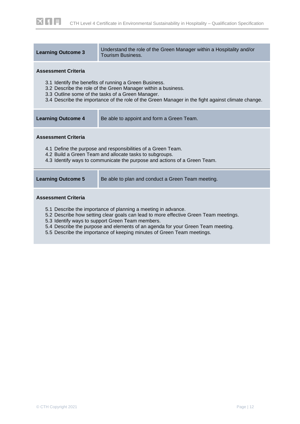| <b>Learning Outcome 3</b>                                                                                                                                                                                                                                                         | Understand the role of the Green Manager within a Hospitality and/or<br>Tourism Business. |  |  |
|-----------------------------------------------------------------------------------------------------------------------------------------------------------------------------------------------------------------------------------------------------------------------------------|-------------------------------------------------------------------------------------------|--|--|
| <b>Assessment Criteria</b>                                                                                                                                                                                                                                                        |                                                                                           |  |  |
| 3.1 Identify the benefits of running a Green Business.<br>3.2 Describe the role of the Green Manager within a business.<br>3.3 Outline some of the tasks of a Green Manager.<br>3.4 Describe the importance of the role of the Green Manager in the fight against climate change. |                                                                                           |  |  |
| <b>Learning Outcome 4</b><br>Be able to appoint and form a Green Team.                                                                                                                                                                                                            |                                                                                           |  |  |
| <b>Assessment Criteria</b>                                                                                                                                                                                                                                                        |                                                                                           |  |  |
| 4.1 Define the purpose and responsibilities of a Green Team.<br>4.2 Build a Green Team and allocate tasks to subgroups.<br>4.3 Identify ways to communicate the purpose and actions of a Green Team.                                                                              |                                                                                           |  |  |
| <b>Learning Outcome 5</b><br>Be able to plan and conduct a Green Team meeting.                                                                                                                                                                                                    |                                                                                           |  |  |
| <b>Assessment Criteria</b>                                                                                                                                                                                                                                                        |                                                                                           |  |  |
| 5.1 Describe the importance of planning a meeting in advance.<br>5.2 Describe how setting clear goals can lead to more effective Green Team meetings.                                                                                                                             |                                                                                           |  |  |

- 5.3 Identify ways to support Green Team members.
- 5.4 Describe the purpose and elements of an agenda for your Green Team meeting.
- 5.5 Describe the importance of keeping minutes of Green Team meetings.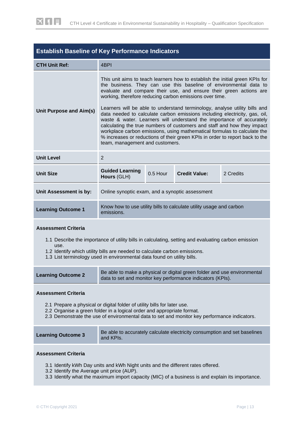

| <b>Establish Baseline of Key Performance Indicators</b>                   |                                                                                                                                                                                                                                                                                                                                                                                                                                                                                                                                                                                                                                                                                                                                                                                                  |          |                      |           |
|---------------------------------------------------------------------------|--------------------------------------------------------------------------------------------------------------------------------------------------------------------------------------------------------------------------------------------------------------------------------------------------------------------------------------------------------------------------------------------------------------------------------------------------------------------------------------------------------------------------------------------------------------------------------------------------------------------------------------------------------------------------------------------------------------------------------------------------------------------------------------------------|----------|----------------------|-----------|
| <b>CTH Unit Ref:</b>                                                      | 4 <sub>BPI</sub>                                                                                                                                                                                                                                                                                                                                                                                                                                                                                                                                                                                                                                                                                                                                                                                 |          |                      |           |
| Unit Purpose and Aim(s)                                                   | This unit aims to teach learners how to establish the initial green KPIs for<br>the business. They can use this baseline of environmental data to<br>evaluate and compare their use, and ensure their green actions are<br>working, therefore reducing carbon emissions over time.<br>Learners will be able to understand terminology, analyse utility bills and<br>data needed to calculate carbon emissions including electricity, gas, oil,<br>waste & water. Learners will understand the importance of accurately<br>calculating the true numbers of customers and staff and how they impact<br>workplace carbon emissions, using mathematical formulas to calculate the<br>% increases or reductions of their green KPIs in order to report back to the<br>team, management and customers. |          |                      |           |
| <b>Unit Level</b>                                                         | $\overline{2}$                                                                                                                                                                                                                                                                                                                                                                                                                                                                                                                                                                                                                                                                                                                                                                                   |          |                      |           |
| <b>Unit Size</b>                                                          | <b>Guided Learning</b><br>Hours (GLH)                                                                                                                                                                                                                                                                                                                                                                                                                                                                                                                                                                                                                                                                                                                                                            | 0.5 Hour | <b>Credit Value:</b> | 2 Credits |
| Unit Assessment is by:<br>Online synoptic exam, and a synoptic assessment |                                                                                                                                                                                                                                                                                                                                                                                                                                                                                                                                                                                                                                                                                                                                                                                                  |          |                      |           |
| <b>Learning Outcome 1</b>                                                 | Know how to use utility bills to calculate utility usage and carbon<br>emissions.                                                                                                                                                                                                                                                                                                                                                                                                                                                                                                                                                                                                                                                                                                                |          |                      |           |

#### **Assessment Criteria**

- 1.1 Describe the importance of utility bills in calculating, setting and evaluating carbon emission use.
- 1.2 Identify which utility bills are needed to calculate carbon emissions.
- 1.3 List terminology used in environmental data found on utility bills.

| <b>Learning Outcome 2</b> | Be able to make a physical or digital green folder and use environmental<br>data to set and monitor key performance indicators (KPIs). |
|---------------------------|----------------------------------------------------------------------------------------------------------------------------------------|
|---------------------------|----------------------------------------------------------------------------------------------------------------------------------------|

#### **Assessment Criteria**

- 2.1 Prepare a physical or digital folder of utility bills for later use.
- 2.2 Organise a green folder in a logical order and appropriate format.
- 2.3 Demonstrate the use of environmental data to set and monitor key performance indicators.

| <b>Learning Outcome 3</b><br>and KPIs. | Be able to accurately calculate electricity consumption and set baselines |
|----------------------------------------|---------------------------------------------------------------------------|
|----------------------------------------|---------------------------------------------------------------------------|

- 3.1 Identify kWh Day units and kWh Night units and the different rates offered.
- 3.2 Identify the Average unit price (AUP).
- 3.3 Identify what the maximum import capacity (MIC) of a business is and explain its importance.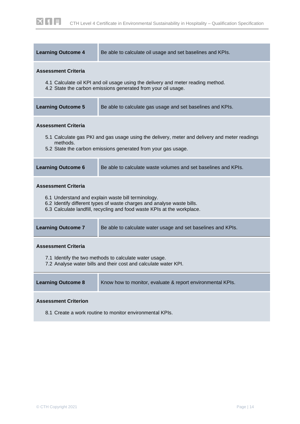| <b>Learning Outcome 4</b>                                                                                                                                                                                | Be able to calculate oil usage and set baselines and KPIs.                                                                                        |  |  |  |  |
|----------------------------------------------------------------------------------------------------------------------------------------------------------------------------------------------------------|---------------------------------------------------------------------------------------------------------------------------------------------------|--|--|--|--|
| <b>Assessment Criteria</b>                                                                                                                                                                               | 4.1 Calculate oil KPI and oil usage using the delivery and meter reading method.<br>4.2 State the carbon emissions generated from your oil usage. |  |  |  |  |
| <b>Learning Outcome 5</b>                                                                                                                                                                                | Be able to calculate gas usage and set baselines and KPIs.                                                                                        |  |  |  |  |
| <b>Assessment Criteria</b><br>5.1 Calculate gas PKI and gas usage using the delivery, meter and delivery and meter readings<br>methods.<br>5.2 State the carbon emissions generated from your gas usage. |                                                                                                                                                   |  |  |  |  |
| <b>Learning Outcome 6</b>                                                                                                                                                                                | Be able to calculate waste volumes and set baselines and KPIs.                                                                                    |  |  |  |  |
| <b>Assessment Criteria</b><br>6.1 Understand and explain waste bill terminology.                                                                                                                         |                                                                                                                                                   |  |  |  |  |
| 6.2 Identify different types of waste charges and analyse waste bills.<br>6.3 Calculate landfill, recycling and food waste KPIs at the workplace.                                                        |                                                                                                                                                   |  |  |  |  |
| <b>Learning Outcome 7</b>                                                                                                                                                                                | Be able to calculate water usage and set baselines and KPIs.                                                                                      |  |  |  |  |
| <b>Assessment Criteria</b><br>7.1 Identify the two methods to calculate water usage.<br>7.2 Analyse water bills and their cost and calculate water KPI.                                                  |                                                                                                                                                   |  |  |  |  |
| <b>Learning Outcome 8</b>                                                                                                                                                                                | Know how to monitor, evaluate & report environmental KPIs.                                                                                        |  |  |  |  |
| <b>Assessment Criterion</b><br>8.1 Create a work routine to monitor environmental KPIs.                                                                                                                  |                                                                                                                                                   |  |  |  |  |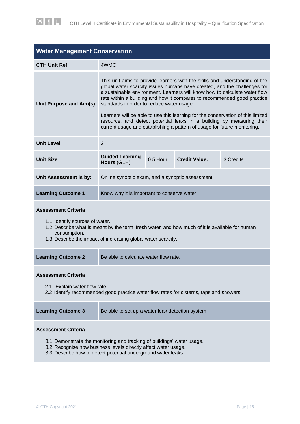| <b>Water Management Conservation</b>                                                                                                                                                                                                           |                                                                                                                                                                                                                                                                                                                                                                                                                                                                                                                                                                                                      |  |  |  |  |
|------------------------------------------------------------------------------------------------------------------------------------------------------------------------------------------------------------------------------------------------|------------------------------------------------------------------------------------------------------------------------------------------------------------------------------------------------------------------------------------------------------------------------------------------------------------------------------------------------------------------------------------------------------------------------------------------------------------------------------------------------------------------------------------------------------------------------------------------------------|--|--|--|--|
| <b>CTH Unit Ref:</b>                                                                                                                                                                                                                           | 4WMC                                                                                                                                                                                                                                                                                                                                                                                                                                                                                                                                                                                                 |  |  |  |  |
| Unit Purpose and Aim(s)                                                                                                                                                                                                                        | This unit aims to provide learners with the skills and understanding of the<br>global water scarcity issues humans have created, and the challenges for<br>a sustainable environment. Learners will know how to calculate water flow<br>rate within a building and how it compares to recommended good practice<br>standards in order to reduce water usage.<br>Learners will be able to use this learning for the conservation of this limited<br>resource, and detect potential leaks in a building by measuring their<br>current usage and establishing a pattern of usage for future monitoring. |  |  |  |  |
| <b>Unit Level</b>                                                                                                                                                                                                                              | 2                                                                                                                                                                                                                                                                                                                                                                                                                                                                                                                                                                                                    |  |  |  |  |
| <b>Unit Size</b>                                                                                                                                                                                                                               | <b>Guided Learning</b><br>0.5 Hour<br><b>Credit Value:</b><br>3 Credits<br>Hours (GLH)                                                                                                                                                                                                                                                                                                                                                                                                                                                                                                               |  |  |  |  |
| Unit Assessment is by:                                                                                                                                                                                                                         | Online synoptic exam, and a synoptic assessment                                                                                                                                                                                                                                                                                                                                                                                                                                                                                                                                                      |  |  |  |  |
| <b>Learning Outcome 1</b>                                                                                                                                                                                                                      | Know why it is important to conserve water.                                                                                                                                                                                                                                                                                                                                                                                                                                                                                                                                                          |  |  |  |  |
| <b>Assessment Criteria</b><br>1.1 Identify sources of water.<br>1.2 Describe what is meant by the term 'fresh water' and how much of it is available for human<br>consumption.<br>1.3 Describe the impact of increasing global water scarcity. |                                                                                                                                                                                                                                                                                                                                                                                                                                                                                                                                                                                                      |  |  |  |  |
| <b>Learning Outcome 2</b>                                                                                                                                                                                                                      | Be able to calculate water flow rate.                                                                                                                                                                                                                                                                                                                                                                                                                                                                                                                                                                |  |  |  |  |
| <b>Assessment Criteria</b><br>2.1 Explain water flow rate.<br>2.2 Identify recommended good practice water flow rates for cisterns, taps and showers.                                                                                          |                                                                                                                                                                                                                                                                                                                                                                                                                                                                                                                                                                                                      |  |  |  |  |

| <b>Learning Outcome 3</b> | Be able to set up a water leak detection system. |
|---------------------------|--------------------------------------------------|
|                           |                                                  |

- 3.1 Demonstrate the monitoring and tracking of buildings' water usage.
- 3.2 Recognise how business levels directly affect water usage.
- 3.3 Describe how to detect potential underground water leaks.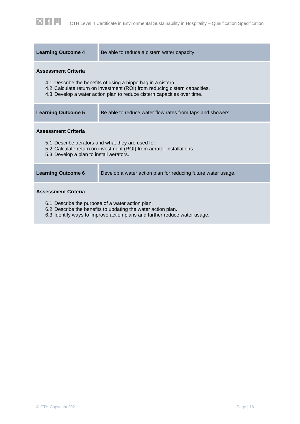| <b>Learning Outcome 4</b>                                                                                                                                                                                             | Be able to reduce a cistern water capacity.                  |  |  |  |  |
|-----------------------------------------------------------------------------------------------------------------------------------------------------------------------------------------------------------------------|--------------------------------------------------------------|--|--|--|--|
| <b>Assessment Criteria</b>                                                                                                                                                                                            |                                                              |  |  |  |  |
| 4.1 Describe the benefits of using a hippo bag in a cistern.<br>4.2 Calculate return on investment (ROI) from reducing cistern capacities.<br>4.3 Develop a water action plan to reduce cistern capacities over time. |                                                              |  |  |  |  |
| <b>Learning Outcome 5</b>                                                                                                                                                                                             | Be able to reduce water flow rates from taps and showers.    |  |  |  |  |
| <b>Assessment Criteria</b>                                                                                                                                                                                            |                                                              |  |  |  |  |
| 5.1 Describe aerators and what they are used for.<br>5.2 Calculate return on investment (ROI) from aerator installations.<br>5.3 Develop a plan to install aerators.                                                  |                                                              |  |  |  |  |
| <b>Learning Outcome 6</b>                                                                                                                                                                                             | Develop a water action plan for reducing future water usage. |  |  |  |  |
| <b>Assessment Criteria</b>                                                                                                                                                                                            |                                                              |  |  |  |  |
| 6.1 Describe the purpose of a water action plan.<br>6.2 Describe the benefits to updating the water action plan.                                                                                                      |                                                              |  |  |  |  |

6.3 Identify ways to improve action plans and further reduce water usage.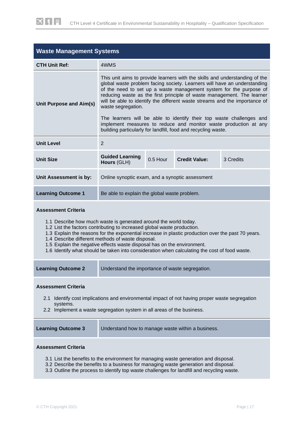| <b>Waste Management Systems</b>                                                                                                                                                                                                                                                                                                                                                                                                                                                                                  |                                                                                                                                                                                                                                                                                                                                                                                                                                                                                                                                                         |          |                                                               |           |
|------------------------------------------------------------------------------------------------------------------------------------------------------------------------------------------------------------------------------------------------------------------------------------------------------------------------------------------------------------------------------------------------------------------------------------------------------------------------------------------------------------------|---------------------------------------------------------------------------------------------------------------------------------------------------------------------------------------------------------------------------------------------------------------------------------------------------------------------------------------------------------------------------------------------------------------------------------------------------------------------------------------------------------------------------------------------------------|----------|---------------------------------------------------------------|-----------|
| <b>CTH Unit Ref:</b>                                                                                                                                                                                                                                                                                                                                                                                                                                                                                             | 4WMS                                                                                                                                                                                                                                                                                                                                                                                                                                                                                                                                                    |          |                                                               |           |
| Unit Purpose and Aim(s)                                                                                                                                                                                                                                                                                                                                                                                                                                                                                          | This unit aims to provide learners with the skills and understanding of the<br>global waste problem facing society. Learners will have an understanding<br>of the need to set up a waste management system for the purpose of<br>reducing waste as the first principle of waste management. The learner<br>will be able to identify the different waste streams and the importance of<br>waste segregation.<br>The learners will be able to identify their top waste challenges and<br>implement measures to reduce and monitor waste production at any |          |                                                               |           |
| <b>Unit Level</b>                                                                                                                                                                                                                                                                                                                                                                                                                                                                                                | 2                                                                                                                                                                                                                                                                                                                                                                                                                                                                                                                                                       |          | building particularly for landfill, food and recycling waste. |           |
| <b>Unit Size</b>                                                                                                                                                                                                                                                                                                                                                                                                                                                                                                 | <b>Guided Learning</b><br>Hours (GLH)                                                                                                                                                                                                                                                                                                                                                                                                                                                                                                                   | 0.5 Hour | <b>Credit Value:</b>                                          | 3 Credits |
| <b>Unit Assessment is by:</b>                                                                                                                                                                                                                                                                                                                                                                                                                                                                                    | Online synoptic exam, and a synoptic assessment                                                                                                                                                                                                                                                                                                                                                                                                                                                                                                         |          |                                                               |           |
| <b>Learning Outcome 1</b>                                                                                                                                                                                                                                                                                                                                                                                                                                                                                        | Be able to explain the global waste problem.                                                                                                                                                                                                                                                                                                                                                                                                                                                                                                            |          |                                                               |           |
| <b>Assessment Criteria</b><br>1.1 Describe how much waste is generated around the world today.<br>1.2 List the factors contributing to increased global waste production.<br>1.3 Explain the reasons for the exponential increase in plastic production over the past 70 years.<br>1.4 Describe different methods of waste disposal.<br>1.5 Explain the negative effects waste disposal has on the environment.<br>1.6 Identify what should be taken into consideration when calculating the cost of food waste. |                                                                                                                                                                                                                                                                                                                                                                                                                                                                                                                                                         |          |                                                               |           |
| Learning Outcome Z                                                                                                                                                                                                                                                                                                                                                                                                                                                                                               | Understand the importance of waste segregation.                                                                                                                                                                                                                                                                                                                                                                                                                                                                                                         |          |                                                               |           |
| <b>Assessment Criteria</b><br>Identify cost implications and environmental impact of not having proper waste segregation<br>2.1<br>systems.<br>2.2 Implement a waste segregation system in all areas of the business.                                                                                                                                                                                                                                                                                            |                                                                                                                                                                                                                                                                                                                                                                                                                                                                                                                                                         |          |                                                               |           |
| <b>Learning Outcome 3</b><br>Understand how to manage waste within a business.                                                                                                                                                                                                                                                                                                                                                                                                                                   |                                                                                                                                                                                                                                                                                                                                                                                                                                                                                                                                                         |          |                                                               |           |
| <b>Assessment Criteria</b>                                                                                                                                                                                                                                                                                                                                                                                                                                                                                       |                                                                                                                                                                                                                                                                                                                                                                                                                                                                                                                                                         |          |                                                               |           |

- 3.1 List the benefits to the environment for managing waste generation and disposal.
- 3.2 Describe the benefits to a business for managing waste generation and disposal.
- 3.3 Outline the process to identify top waste challenges for landfill and recycling waste.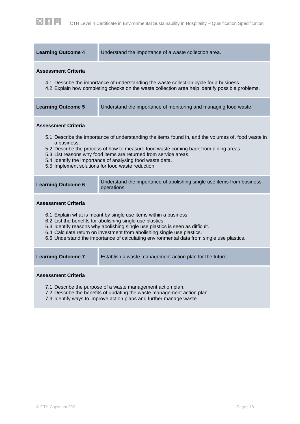| <b>Learning Outcome 4</b>                                                                                                                                                                                                                                                                                                                                                                                           | Understand the importance of a waste collection area.                                                                                                                                                                                                                                                                                                                            |  |  |  |
|---------------------------------------------------------------------------------------------------------------------------------------------------------------------------------------------------------------------------------------------------------------------------------------------------------------------------------------------------------------------------------------------------------------------|----------------------------------------------------------------------------------------------------------------------------------------------------------------------------------------------------------------------------------------------------------------------------------------------------------------------------------------------------------------------------------|--|--|--|
| <b>Assessment Criteria</b>                                                                                                                                                                                                                                                                                                                                                                                          | 4.1 Describe the importance of understanding the waste collection cycle for a business.<br>4.2 Explain how completing checks on the waste collection area help identify possible problems.                                                                                                                                                                                       |  |  |  |
| <b>Learning Outcome 5</b>                                                                                                                                                                                                                                                                                                                                                                                           | Understand the importance of monitoring and managing food waste.                                                                                                                                                                                                                                                                                                                 |  |  |  |
| <b>Assessment Criteria</b><br>a business.                                                                                                                                                                                                                                                                                                                                                                           | 5.1 Describe the importance of understanding the items found in, and the volumes of, food waste in<br>5.2 Describe the process of how to measure food waste coming back from dining areas.<br>5.3 List reasons why food items are returned from service areas.<br>5.4 Identify the importance of analysing food waste data.<br>5.5 Implement solutions for food waste reduction. |  |  |  |
| <b>Learning Outcome 6</b>                                                                                                                                                                                                                                                                                                                                                                                           | Understand the importance of abolishing single use items from business<br>operations.                                                                                                                                                                                                                                                                                            |  |  |  |
| <b>Assessment Criteria</b><br>6.1 Explain what is meant by single use items within a business<br>6.2 List the benefits for abolishing single use plastics.<br>6.3 Identify reasons why abolishing single use plastics is seen as difficult.<br>6.4 Calculate return on investment from abolishing single use plastics.<br>6.5 Understand the importance of calculating environmental data from single use plastics. |                                                                                                                                                                                                                                                                                                                                                                                  |  |  |  |
| <b>Learning Outcome 7</b>                                                                                                                                                                                                                                                                                                                                                                                           | Establish a waste management action plan for the future.                                                                                                                                                                                                                                                                                                                         |  |  |  |
| <b>Assessment Criteria</b><br>7.1 Describe the purpose of a waste management action plan.<br>7.2 Describe the benefits of updating the waste management action plan.<br>7.3 Identify ways to improve action plans and further manage waste.                                                                                                                                                                         |                                                                                                                                                                                                                                                                                                                                                                                  |  |  |  |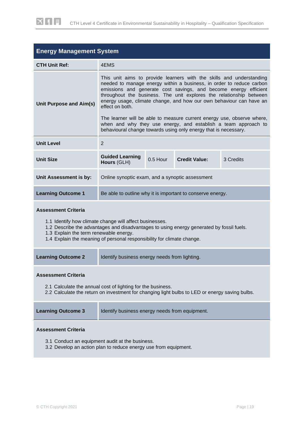| <b>Energy Management System</b>                                                                                                                                                                                                                                                                       |                                                                                                                                                                                                                                                                                                                                                                                   |                                                 |  |  |  |  |
|-------------------------------------------------------------------------------------------------------------------------------------------------------------------------------------------------------------------------------------------------------------------------------------------------------|-----------------------------------------------------------------------------------------------------------------------------------------------------------------------------------------------------------------------------------------------------------------------------------------------------------------------------------------------------------------------------------|-------------------------------------------------|--|--|--|--|
| <b>CTH Unit Ref:</b>                                                                                                                                                                                                                                                                                  | 4EMS                                                                                                                                                                                                                                                                                                                                                                              |                                                 |  |  |  |  |
| Unit Purpose and Aim(s)                                                                                                                                                                                                                                                                               | This unit aims to provide learners with the skills and understanding<br>needed to manage energy within a business, in order to reduce carbon<br>emissions and generate cost savings, and become energy efficient<br>throughout the business. The unit explores the relationship between<br>energy usage, climate change, and how our own behaviour can have an<br>effect on both. |                                                 |  |  |  |  |
|                                                                                                                                                                                                                                                                                                       | The learner will be able to measure current energy use, observe where,<br>when and why they use energy, and establish a team approach to<br>behavioural change towards using only energy that is necessary.                                                                                                                                                                       |                                                 |  |  |  |  |
| <b>Unit Level</b>                                                                                                                                                                                                                                                                                     | 2                                                                                                                                                                                                                                                                                                                                                                                 |                                                 |  |  |  |  |
| <b>Unit Size</b>                                                                                                                                                                                                                                                                                      | <b>Guided Learning</b><br>Hours (GLH)                                                                                                                                                                                                                                                                                                                                             | $0.5$ Hour<br><b>Credit Value:</b><br>3 Credits |  |  |  |  |
| Unit Assessment is by:                                                                                                                                                                                                                                                                                | Online synoptic exam, and a synoptic assessment                                                                                                                                                                                                                                                                                                                                   |                                                 |  |  |  |  |
| <b>Learning Outcome 1</b>                                                                                                                                                                                                                                                                             | Be able to outline why it is important to conserve energy.                                                                                                                                                                                                                                                                                                                        |                                                 |  |  |  |  |
| <b>Assessment Criteria</b><br>1.1 Identify how climate change will affect businesses.<br>1.2 Describe the advantages and disadvantages to using energy generated by fossil fuels.<br>1.3 Explain the term renewable energy.<br>1.4 Explain the meaning of personal responsibility for climate change. |                                                                                                                                                                                                                                                                                                                                                                                   |                                                 |  |  |  |  |
| <b>Learning Outcome 2</b>                                                                                                                                                                                                                                                                             | Identify business energy needs from lighting.                                                                                                                                                                                                                                                                                                                                     |                                                 |  |  |  |  |
| <b>Assessment Criteria</b><br>2.1 Calculate the annual cost of lighting for the business.<br>2.2 Calculate the return on investment for changing light bulbs to LED or energy saving bulbs.                                                                                                           |                                                                                                                                                                                                                                                                                                                                                                                   |                                                 |  |  |  |  |
| <b>Learning Outcome 3</b>                                                                                                                                                                                                                                                                             | Identify business energy needs from equipment.                                                                                                                                                                                                                                                                                                                                    |                                                 |  |  |  |  |

- 3.1 Conduct an equipment audit at the business.
- 3.2 Develop an action plan to reduce energy use from equipment.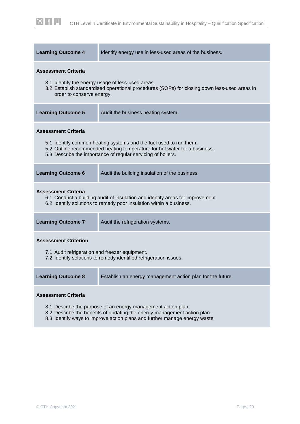| <b>Learning Outcome 4</b>                                                                                                                          | Identify energy use in less-used areas of the business.                                                                                                                                                         |  |  |  |
|----------------------------------------------------------------------------------------------------------------------------------------------------|-----------------------------------------------------------------------------------------------------------------------------------------------------------------------------------------------------------------|--|--|--|
| <b>Assessment Criteria</b><br>order to conserve energy.                                                                                            | 3.1 Identify the energy usage of less-used areas.<br>3.2 Establish standardised operational procedures (SOPs) for closing down less-used areas in                                                               |  |  |  |
| <b>Learning Outcome 5</b>                                                                                                                          | Audit the business heating system.                                                                                                                                                                              |  |  |  |
| <b>Assessment Criteria</b>                                                                                                                         | 5.1 Identify common heating systems and the fuel used to run them.<br>5.2 Outline recommended heating temperature for hot water for a business.<br>5.3 Describe the importance of regular servicing of boilers. |  |  |  |
| <b>Learning Outcome 6</b>                                                                                                                          | Audit the building insulation of the business.                                                                                                                                                                  |  |  |  |
| <b>Assessment Criteria</b>                                                                                                                         | 6.1 Conduct a building audit of insulation and identify areas for improvement.<br>6.2 Identify solutions to remedy poor insulation within a business.                                                           |  |  |  |
| <b>Learning Outcome 7</b>                                                                                                                          | Audit the refrigeration systems.                                                                                                                                                                                |  |  |  |
| <b>Assessment Criterion</b><br>7.1 Audit refrigeration and freezer equipment.<br>7.2 Identify solutions to remedy identified refrigeration issues. |                                                                                                                                                                                                                 |  |  |  |
| <b>Learning Outcome 8</b>                                                                                                                          | Establish an energy management action plan for the future.                                                                                                                                                      |  |  |  |
| <b>Assessment Criteria</b>                                                                                                                         |                                                                                                                                                                                                                 |  |  |  |

- 8.1 Describe the purpose of an energy management action plan.
- 8.2 Describe the benefits of updating the energy management action plan.
- 8.3 Identify ways to improve action plans and further manage energy waste.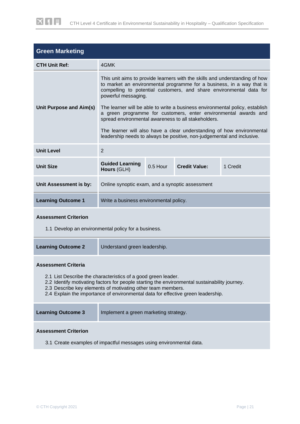| <b>Green Marketing</b>                                                                                                                                                                                                                                                                                            |                                                                                                                                                                                                                                                                                                                                    |          |                                                                        |                                                                       |
|-------------------------------------------------------------------------------------------------------------------------------------------------------------------------------------------------------------------------------------------------------------------------------------------------------------------|------------------------------------------------------------------------------------------------------------------------------------------------------------------------------------------------------------------------------------------------------------------------------------------------------------------------------------|----------|------------------------------------------------------------------------|-----------------------------------------------------------------------|
| <b>CTH Unit Ref:</b>                                                                                                                                                                                                                                                                                              | 4GMK                                                                                                                                                                                                                                                                                                                               |          |                                                                        |                                                                       |
| Unit Purpose and Aim(s)                                                                                                                                                                                                                                                                                           | This unit aims to provide learners with the skills and understanding of how<br>to market an environmental programme for a business, in a way that is<br>compelling to potential customers, and share environmental data for<br>powerful messaging.<br>The learner will be able to write a business environmental policy, establish |          |                                                                        |                                                                       |
|                                                                                                                                                                                                                                                                                                                   | spread environmental awareness to all stakeholders.                                                                                                                                                                                                                                                                                |          |                                                                        | a green programme for customers, enter environmental awards and       |
|                                                                                                                                                                                                                                                                                                                   |                                                                                                                                                                                                                                                                                                                                    |          | leadership needs to always be positive, non-judgemental and inclusive. | The learner will also have a clear understanding of how environmental |
| <b>Unit Level</b>                                                                                                                                                                                                                                                                                                 | $\overline{2}$                                                                                                                                                                                                                                                                                                                     |          |                                                                        |                                                                       |
| <b>Unit Size</b>                                                                                                                                                                                                                                                                                                  | <b>Guided Learning</b><br>Hours (GLH)                                                                                                                                                                                                                                                                                              | 0.5 Hour | <b>Credit Value:</b>                                                   | 1 Credit                                                              |
| Unit Assessment is by:                                                                                                                                                                                                                                                                                            | Online synoptic exam, and a synoptic assessment                                                                                                                                                                                                                                                                                    |          |                                                                        |                                                                       |
| <b>Learning Outcome 1</b>                                                                                                                                                                                                                                                                                         | Write a business environmental policy.                                                                                                                                                                                                                                                                                             |          |                                                                        |                                                                       |
| <b>Assessment Criterion</b><br>1.1 Develop an environmental policy for a business.                                                                                                                                                                                                                                |                                                                                                                                                                                                                                                                                                                                    |          |                                                                        |                                                                       |
| <b>Learning Outcome 2</b>                                                                                                                                                                                                                                                                                         | Understand green leadership.                                                                                                                                                                                                                                                                                                       |          |                                                                        |                                                                       |
| <b>Assessment Criteria</b>                                                                                                                                                                                                                                                                                        |                                                                                                                                                                                                                                                                                                                                    |          |                                                                        |                                                                       |
| 2.1 List Describe the characteristics of a good green leader.<br>2.2 Identify motivating factors for people starting the environmental sustainability journey.<br>2.3 Describe key elements of motivating other team members.<br>2.4 Explain the importance of environmental data for effective green leadership. |                                                                                                                                                                                                                                                                                                                                    |          |                                                                        |                                                                       |
| <b>Learning Outcome 3</b>                                                                                                                                                                                                                                                                                         | Implement a green marketing strategy.                                                                                                                                                                                                                                                                                              |          |                                                                        |                                                                       |

#### **Assessment Criterion**

3.1 Create examples of impactful messages using environmental data.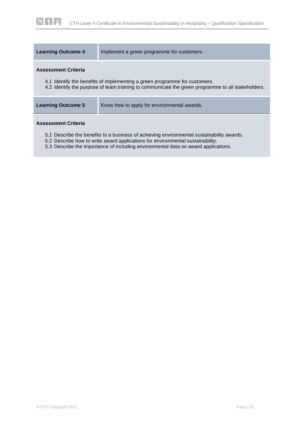| <b>Learning Outcome 4</b>  | Implement a green programme for customers.                                                                                                                                      |
|----------------------------|---------------------------------------------------------------------------------------------------------------------------------------------------------------------------------|
| <b>Assessment Criteria</b> | 4.1 Identify the benefits of implementing a green programme for customers.<br>4.2 Identify the purpose of team training to communicate the green programme to all stakeholders. |
| <b>Learning Outcome 5</b>  | Know how to apply for environmental awards.                                                                                                                                     |
| <b>Assessment Criteria</b> | 5.1 Describe the benefits to a business of achieving environmental sustainability awards.                                                                                       |

- 5.2 Describe how to write award applications for environmental sustainability.
- 5.3 Describe the importance of including environmental data on award applications.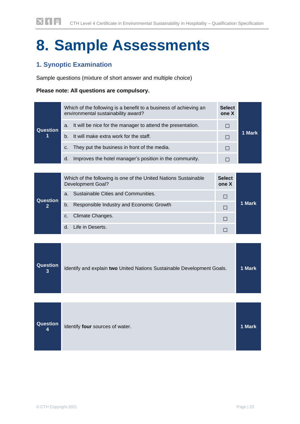# <span id="page-23-0"></span>**8. Sample Assessments**

# **1. Synoptic Examination**

Sample questions (mixture of short answer and multiple choice)

#### **Please note: All questions are compulsory.**

|                 | Which of the following is a benefit to a business of achieving an<br>environmental sustainability award? |                                                             |   |        |
|-----------------|----------------------------------------------------------------------------------------------------------|-------------------------------------------------------------|---|--------|
| <b>Question</b> | a.                                                                                                       | It will be nice for the manager to attend the presentation. | П |        |
| 11              | $b_{-}$                                                                                                  | It will make extra work for the staff.                      | П | 1 Mark |
|                 | C.                                                                                                       | They put the business in front of the media.                |   |        |
|                 | d.                                                                                                       | Improves the hotel manager's position in the community.     |   |        |

|                | Which of the following is one of the United Nations Sustainable<br><b>Development Goal?</b> |                                          |  |        |
|----------------|---------------------------------------------------------------------------------------------|------------------------------------------|--|--------|
| Question       | a.                                                                                          | Sustainable Cities and Communities.      |  |        |
| $\overline{2}$ | b.                                                                                          | Responsible Industry and Economic Growth |  | 1 Mark |
|                | c.                                                                                          | Climate Changes.                         |  |        |
|                | d.                                                                                          | Life in Deserts.                         |  |        |

| Question<br>3 | Identify and explain two United Nations Sustainable Development Goals. | 1 Mark |
|---------------|------------------------------------------------------------------------|--------|
| Question<br>4 | Identify four sources of water.                                        | 1 Mark |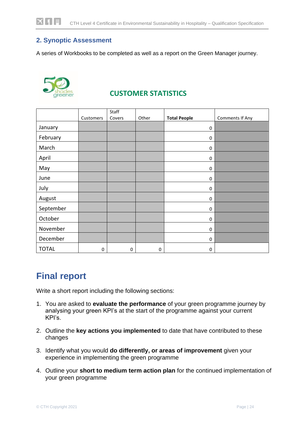# **2. Synoptic Assessment**

A series of Workbooks to be completed as well as a report on the Green Manager journey.



# **CUSTOMER STATISTICS**

|              |           | Staff       |       |                     |                 |
|--------------|-----------|-------------|-------|---------------------|-----------------|
|              | Customers | Covers      | Other | <b>Total People</b> | Comments If Any |
| January      |           |             |       | 0                   |                 |
| February     |           |             |       | 0                   |                 |
| March        |           |             |       | 0                   |                 |
| April        |           |             |       | 0                   |                 |
| May          |           |             |       | 0                   |                 |
| June         |           |             |       | 0                   |                 |
| July         |           |             |       | 0                   |                 |
| August       |           |             |       | $\pmb{0}$           |                 |
| September    |           |             |       | $\pmb{0}$           |                 |
| October      |           |             |       | 0                   |                 |
| November     |           |             |       | 0                   |                 |
| December     |           |             |       | 0                   |                 |
| <b>TOTAL</b> | 0         | $\mathbf 0$ | 0     | $\pmb{0}$           |                 |

# <span id="page-24-0"></span>**Final report**

Write a short report including the following sections:

- 1. You are asked to **evaluate the performance** of your green programme journey by analysing your green KPI's at the start of the programme against your current KPI's.
- 2. Outline the **key actions you implemented** to date that have contributed to these changes
- 3. Identify what you would **do differently, or areas of improvement** given your experience in implementing the green programme
- 4. Outline your **short to medium term action plan** for the continued implementation of your green programme